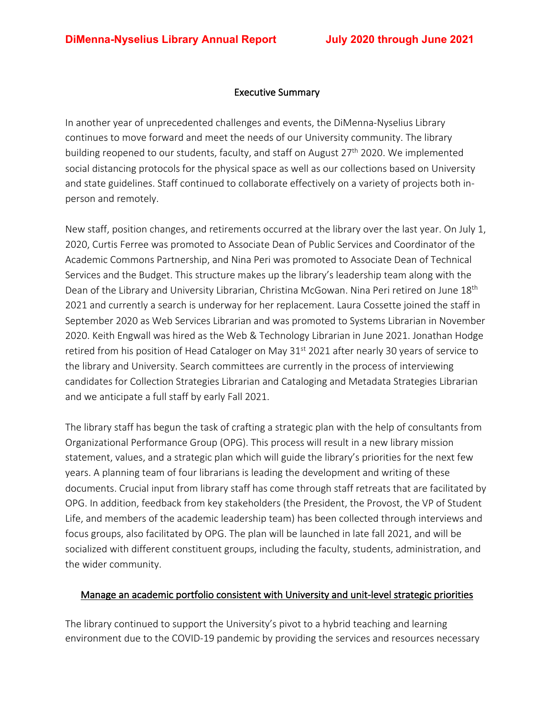### Executive Summary

In another year of unprecedented challenges and events, the DiMenna-Nyselius Library continues to move forward and meet the needs of our University community. The library building reopened to our students, faculty, and staff on August 27<sup>th</sup> 2020. We implemented social distancing protocols for the physical space as well as our collections based on University and state guidelines. Staff continued to collaborate effectively on a variety of projects both inperson and remotely.

New staff, position changes, and retirements occurred at the library over the last year. On July 1, 2020, Curtis Ferree was promoted to Associate Dean of Public Services and Coordinator of the Academic Commons Partnership, and Nina Peri was promoted to Associate Dean of Technical Services and the Budget. This structure makes up the library's leadership team along with the Dean of the Library and University Librarian, Christina McGowan. Nina Peri retired on June 18<sup>th</sup> 2021 and currently a search is underway for her replacement. Laura Cossette joined the staff in September 2020 as Web Services Librarian and was promoted to Systems Librarian in November 2020. Keith Engwall was hired as the Web & Technology Librarian in June 2021. Jonathan Hodge retired from his position of Head Cataloger on May 31st 2021 after nearly 30 years of service to the library and University. Search committees are currently in the process of interviewing candidates for Collection Strategies Librarian and Cataloging and Metadata Strategies Librarian and we anticipate a full staff by early Fall 2021.

The library staff has begun the task of crafting a strategic plan with the help of consultants from Organizational Performance Group (OPG). This process will result in a new library mission statement, values, and a strategic plan which will guide the library's priorities for the next few years. A planning team of four librarians is leading the development and writing of these documents. Crucial input from library staff has come through staff retreats that are facilitated by OPG. In addition, feedback from key stakeholders (the President, the Provost, the VP of Student Life, and members of the academic leadership team) has been collected through interviews and focus groups, also facilitated by OPG. The plan will be launched in late fall 2021, and will be socialized with different constituent groups, including the faculty, students, administration, and the wider community.

### Manage an academic portfolio consistent with University and unit-level strategic priorities

The library continued to support the University's pivot to a hybrid teaching and learning environment due to the COVID-19 pandemic by providing the services and resources necessary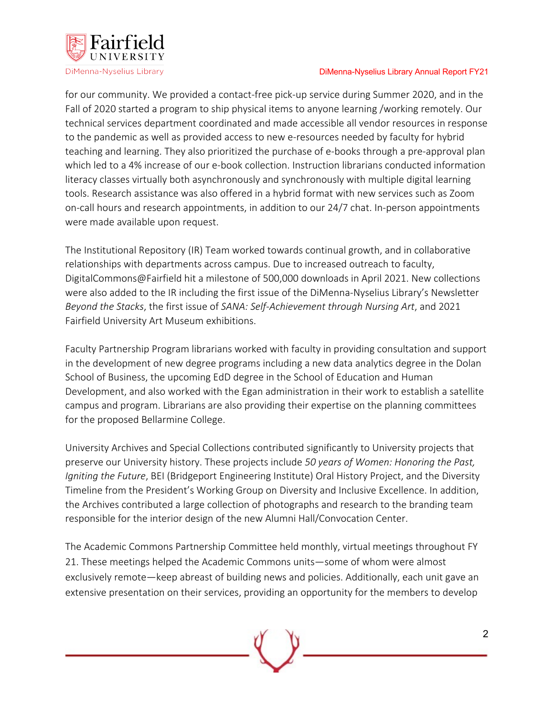

for our community. We provided a contact-free pick-up service during Summer 2020, and in the Fall of 2020 started a program to ship physical items to anyone learning /working remotely. Our technical services department coordinated and made accessible all vendor resources in response to the pandemic as well as provided access to new e-resources needed by faculty for hybrid teaching and learning. They also prioritized the purchase of e-books through a pre-approval plan which led to a 4% increase of our e-book collection. Instruction librarians conducted information literacy classes virtually both asynchronously and synchronously with multiple digital learning tools. Research assistance was also offered in a hybrid format with new services such as Zoom on-call hours and research appointments, in addition to our 24/7 chat. In-person appointments were made available upon request.

The Institutional Repository (IR) Team worked towards continual growth, and in collaborative relationships with departments across campus. Due to increased outreach to faculty, DigitalCommons@Fairfield hit a milestone of 500,000 downloads in April 2021. New collections were also added to the IR including the first issue of the DiMenna-Nyselius Library's Newsletter *Beyond the Stacks*, the first issue of *SANA: Self-Achievement through Nursing Art*, and 2021 Fairfield University Art Museum exhibitions.

Faculty Partnership Program librarians worked with faculty in providing consultation and support in the development of new degree programs including a new data analytics degree in the Dolan School of Business, the upcoming EdD degree in the School of Education and Human Development, and also worked with the Egan administration in their work to establish a satellite campus and program. Librarians are also providing their expertise on the planning committees for the proposed Bellarmine College.

University Archives and Special Collections contributed significantly to University projects that preserve our University history. These projects include *50 years of Women: Honoring the Past, Igniting the Future*, BEI (Bridgeport Engineering Institute) Oral History Project, and the Diversity Timeline from the President's Working Group on Diversity and Inclusive Excellence. In addition, the Archives contributed a large collection of photographs and research to the branding team responsible for the interior design of the new Alumni Hall/Convocation Center.

The Academic Commons Partnership Committee held monthly, virtual meetings throughout FY 21. These meetings helped the Academic Commons units—some of whom were almost exclusively remote—keep abreast of building news and policies. Additionally, each unit gave an extensive presentation on their services, providing an opportunity for the members to develop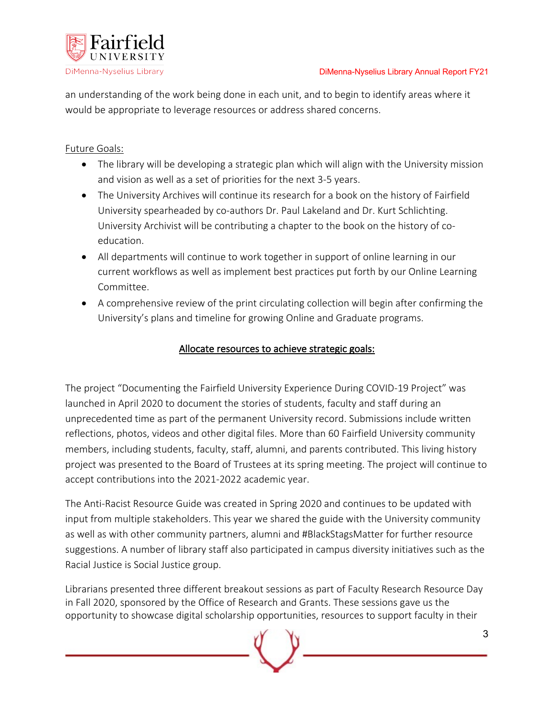

an understanding of the work being done in each unit, and to begin to identify areas where it would be appropriate to leverage resources or address shared concerns.

# Future Goals:

- The library will be developing a strategic plan which will align with the University mission and vision as well as a set of priorities for the next 3-5 years.
- The University Archives will continue its research for a book on the history of Fairfield University spearheaded by co-authors Dr. Paul Lakeland and Dr. Kurt Schlichting. University Archivist will be contributing a chapter to the book on the history of coeducation.
- All departments will continue to work together in support of online learning in our current workflows as well as implement best practices put forth by our Online Learning **Committee**
- A comprehensive review of the print circulating collection will begin after confirming the University's plans and timeline for growing Online and Graduate programs.

## Allocate resources to achieve strategic goals:

The project "Documenting the Fairfield University Experience During COVID-19 Project" was launched in April 2020 to document the stories of students, faculty and staff during an unprecedented time as part of the permanent University record. Submissions include written reflections, photos, videos and other digital files. More than 60 Fairfield University community members, including students, faculty, staff, alumni, and parents contributed. This living history project was presented to the Board of Trustees at its spring meeting. The project will continue to accept contributions into the 2021-2022 academic year.

The Anti-Racist Resource Guide was created in Spring 2020 and continues to be updated with input from multiple stakeholders. This year we shared the guide with the University community as well as with other community partners, alumni and #BlackStagsMatter for further resource suggestions. A number of library staff also participated in campus diversity initiatives such as the Racial Justice is Social Justice group.

Librarians presented three different breakout sessions as part of Faculty Research Resource Day in Fall 2020, sponsored by the Office of Research and Grants. These sessions gave us the opportunity to showcase digital scholarship opportunities, resources to support faculty in their

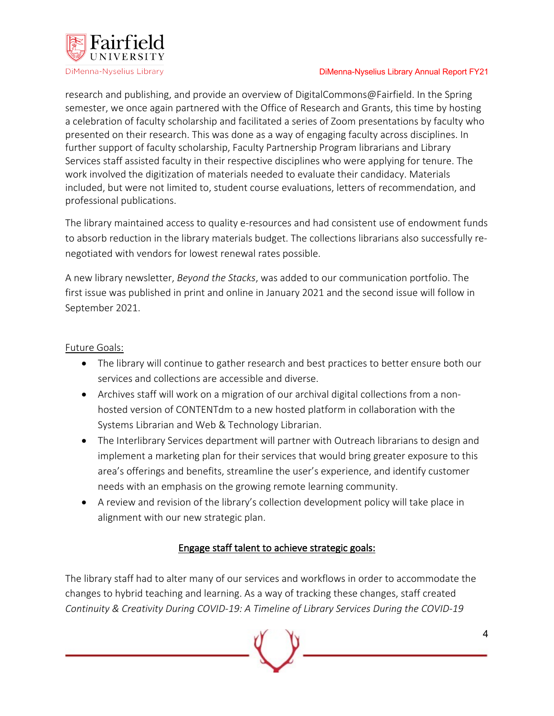

research and publishing, and provide an overview of DigitalCommons@Fairfield. In the Spring semester, we once again partnered with the Office of Research and Grants, this time by hosting a celebration of faculty scholarship and facilitated a series of Zoom presentations by faculty who presented on their research. This was done as a way of engaging faculty across disciplines. In further support of faculty scholarship, Faculty Partnership Program librarians and Library Services staff assisted faculty in their respective disciplines who were applying for tenure. The work involved the digitization of materials needed to evaluate their candidacy. Materials included, but were not limited to, student course evaluations, letters of recommendation, and professional publications.

The library maintained access to quality e-resources and had consistent use of endowment funds to absorb reduction in the library materials budget. The collections librarians also successfully renegotiated with vendors for lowest renewal rates possible.

A new library newsletter, *Beyond the Stacks*, was added to our communication portfolio. The first issue was published in print and online in January 2021 and the second issue will follow in September 2021.

## Future Goals:

- The library will continue to gather research and best practices to better ensure both our services and collections are accessible and diverse.
- Archives staff will work on a migration of our archival digital collections from a nonhosted version of CONTENTdm to a new hosted platform in collaboration with the Systems Librarian and Web & Technology Librarian.
- The Interlibrary Services department will partner with Outreach librarians to design and implement a marketing plan for their services that would bring greater exposure to this area's offerings and benefits, streamline the user's experience, and identify customer needs with an emphasis on the growing remote learning community.
- A review and revision of the library's collection development policy will take place in alignment with our new strategic plan.

# Engage staff talent to achieve strategic goals:

The library staff had to alter many of our services and workflows in order to accommodate the changes to hybrid teaching and learning. As a way of tracking these changes, staff created *Continuity & Creativity During COVID-19: A Timeline of Library Services During the COVID-19* 

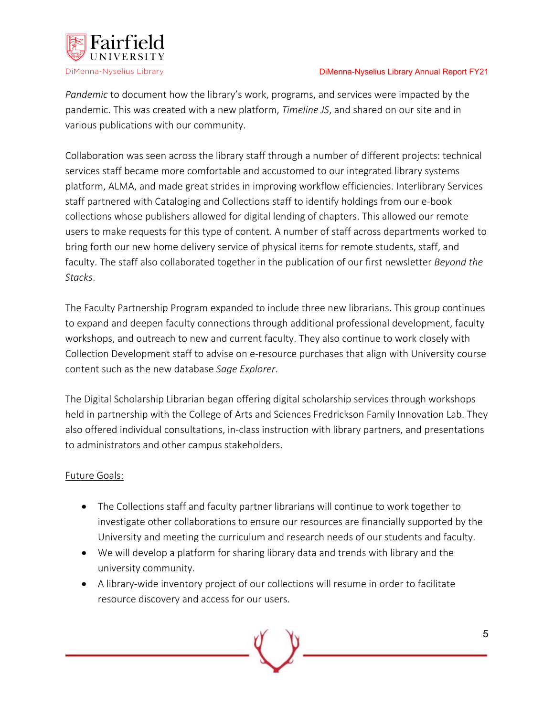

*Pandemic* to document how the library's work, programs, and services were impacted by the pandemic. This was created with a new platform, *Timeline JS*, and shared on our site and in various publications with our community.

Collaboration was seen across the library staff through a number of different projects: technical services staff became more comfortable and accustomed to our integrated library systems platform, ALMA, and made great strides in improving workflow efficiencies. Interlibrary Services staff partnered with Cataloging and Collections staff to identify holdings from our e-book collections whose publishers allowed for digital lending of chapters. This allowed our remote users to make requests for this type of content. A number of staff across departments worked to bring forth our new home delivery service of physical items for remote students, staff, and faculty. The staff also collaborated together in the publication of our first newsletter *Beyond the Stacks*.

The Faculty Partnership Program expanded to include three new librarians. This group continues to expand and deepen faculty connections through additional professional development, faculty workshops, and outreach to new and current faculty. They also continue to work closely with Collection Development staff to advise on e-resource purchases that align with University course content such as the new database *Sage Explorer*.

The Digital Scholarship Librarian began offering digital scholarship services through workshops held in partnership with the College of Arts and Sciences Fredrickson Family Innovation Lab. They also offered individual consultations, in-class instruction with library partners, and presentations to administrators and other campus stakeholders.

### Future Goals:

- The Collections staff and faculty partner librarians will continue to work together to investigate other collaborations to ensure our resources are financially supported by the University and meeting the curriculum and research needs of our students and faculty.
- We will develop a platform for sharing library data and trends with library and the university community.
- A library-wide inventory project of our collections will resume in order to facilitate resource discovery and access for our users.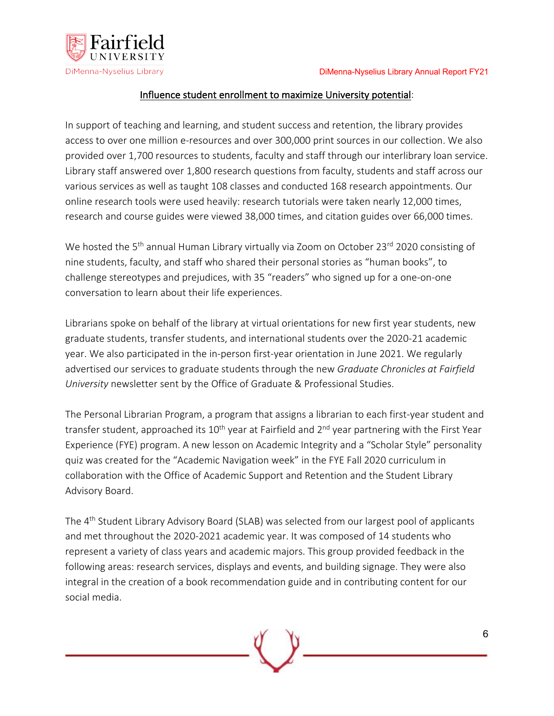

### Influence student enrollment to maximize University potential:

In support of teaching and learning, and student success and retention, the library provides access to over one million e-resources and over 300,000 print sources in our collection. We also provided over 1,700 resources to students, faculty and staff through our interlibrary loan service. Library staff answered over 1,800 research questions from faculty, students and staff across our various services as well as taught 108 classes and conducted 168 research appointments. Our online research tools were used heavily: research tutorials were taken nearly 12,000 times, research and course guides were viewed 38,000 times, and citation guides over 66,000 times.

We hosted the 5<sup>th</sup> annual Human Library virtually via Zoom on October 23<sup>rd</sup> 2020 consisting of nine students, faculty, and staff who shared their personal stories as "human books", to challenge stereotypes and prejudices, with 35 "readers" who signed up for a one-on-one conversation to learn about their life experiences.

Librarians spoke on behalf of the library at virtual orientations for new first year students, new graduate students, transfer students, and international students over the 2020-21 academic year. We also participated in the in-person first-year orientation in June 2021. We regularly advertised our services to graduate students through the new *Graduate Chronicles at Fairfield University* newsletter sent by the Office of Graduate & Professional Studies.

The Personal Librarian Program, a program that assigns a librarian to each first-year student and transfer student, approached its  $10^{th}$  year at Fairfield and  $2^{nd}$  year partnering with the First Year Experience (FYE) program. A new lesson on Academic Integrity and a "Scholar Style" personality quiz was created for the "Academic Navigation week" in the FYE Fall 2020 curriculum in collaboration with the Office of Academic Support and Retention and the Student Library Advisory Board.

The 4th Student Library Advisory Board (SLAB) was selected from our largest pool of applicants and met throughout the 2020-2021 academic year. It was composed of 14 students who represent a variety of class years and academic majors. This group provided feedback in the following areas: research services, displays and events, and building signage. They were also integral in the creation of a book recommendation guide and in contributing content for our social media.